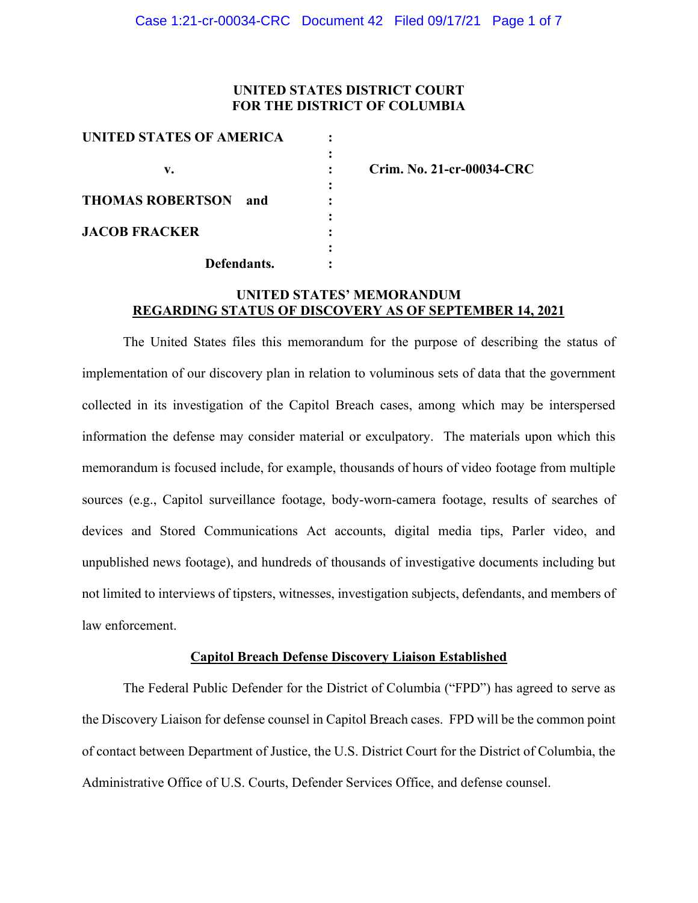### **UNITED STATES DISTRICT COURT FOR THE DISTRICT OF COLUMBIA**

| UNITED STATES OF AMERICA       |  |
|--------------------------------|--|
|                                |  |
| v.                             |  |
|                                |  |
| <b>THOMAS ROBERTSON</b><br>and |  |
|                                |  |
| <b>JACOB FRACKER</b>           |  |
|                                |  |
| Defendants.                    |  |

**v. : Crim. No. 21-cr-00034-CRC**

# **UNITED STATES' MEMORANDUM REGARDING STATUS OF DISCOVERY AS OF SEPTEMBER 14, 2021**

The United States files this memorandum for the purpose of describing the status of implementation of our discovery plan in relation to voluminous sets of data that the government collected in its investigation of the Capitol Breach cases, among which may be interspersed information the defense may consider material or exculpatory. The materials upon which this memorandum is focused include, for example, thousands of hours of video footage from multiple sources (e.g., Capitol surveillance footage, body-worn-camera footage, results of searches of devices and Stored Communications Act accounts, digital media tips, Parler video, and unpublished news footage), and hundreds of thousands of investigative documents including but not limited to interviews of tipsters, witnesses, investigation subjects, defendants, and members of law enforcement.

#### **Capitol Breach Defense Discovery Liaison Established**

The Federal Public Defender for the District of Columbia ("FPD") has agreed to serve as the Discovery Liaison for defense counsel in Capitol Breach cases. FPD will be the common point of contact between Department of Justice, the U.S. District Court for the District of Columbia, the Administrative Office of U.S. Courts, Defender Services Office, and defense counsel.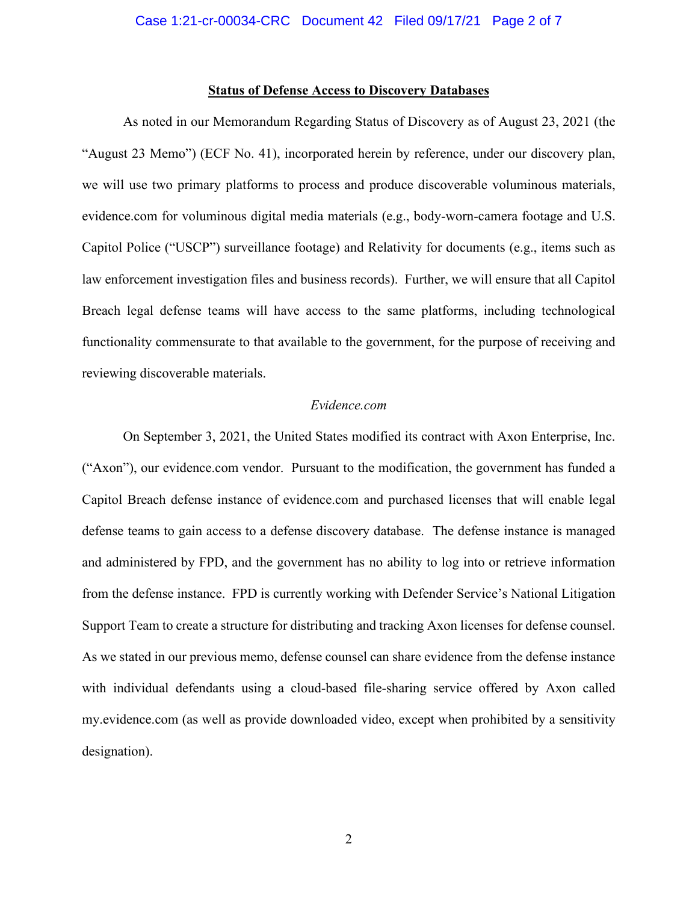#### **Status of Defense Access to Discovery Databases**

As noted in our Memorandum Regarding Status of Discovery as of August 23, 2021 (the "August 23 Memo") (ECF No. 41), incorporated herein by reference, under our discovery plan, we will use two primary platforms to process and produce discoverable voluminous materials, evidence.com for voluminous digital media materials (e.g., body-worn-camera footage and U.S. Capitol Police ("USCP") surveillance footage) and Relativity for documents (e.g., items such as law enforcement investigation files and business records). Further, we will ensure that all Capitol Breach legal defense teams will have access to the same platforms, including technological functionality commensurate to that available to the government, for the purpose of receiving and reviewing discoverable materials.

### *Evidence.com*

On September 3, 2021, the United States modified its contract with Axon Enterprise, Inc. ("Axon"), our evidence.com vendor. Pursuant to the modification, the government has funded a Capitol Breach defense instance of evidence.com and purchased licenses that will enable legal defense teams to gain access to a defense discovery database. The defense instance is managed and administered by FPD, and the government has no ability to log into or retrieve information from the defense instance. FPD is currently working with Defender Service's National Litigation Support Team to create a structure for distributing and tracking Axon licenses for defense counsel. As we stated in our previous memo, defense counsel can share evidence from the defense instance with individual defendants using a cloud-based file-sharing service offered by Axon called my.evidence.com (as well as provide downloaded video, except when prohibited by a sensitivity designation).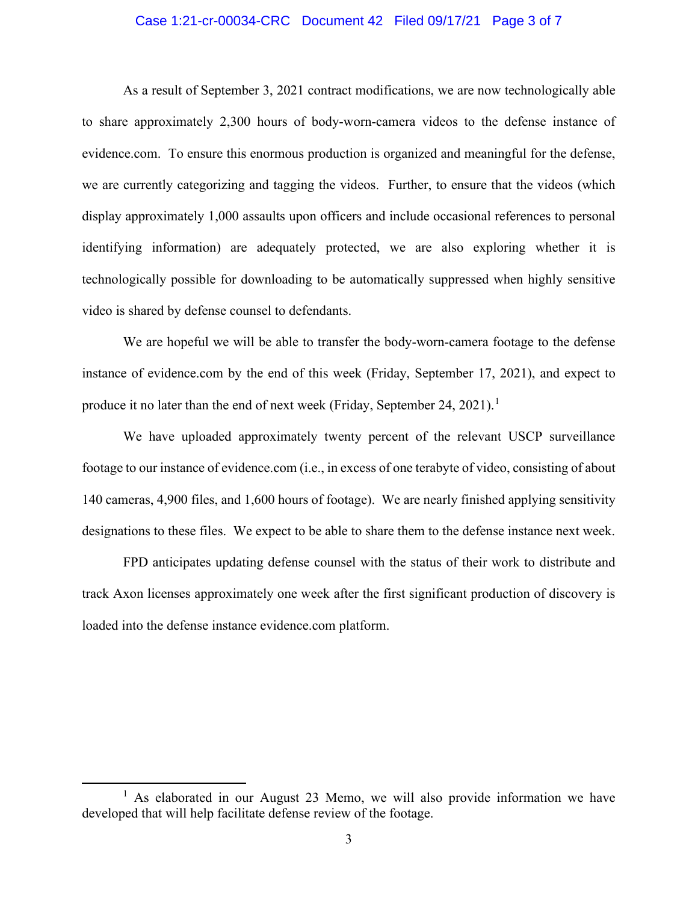#### Case 1:21-cr-00034-CRC Document 42 Filed 09/17/21 Page 3 of 7

As a result of September 3, 2021 contract modifications, we are now technologically able to share approximately 2,300 hours of body-worn-camera videos to the defense instance of evidence.com. To ensure this enormous production is organized and meaningful for the defense, we are currently categorizing and tagging the videos. Further, to ensure that the videos (which display approximately 1,000 assaults upon officers and include occasional references to personal identifying information) are adequately protected, we are also exploring whether it is technologically possible for downloading to be automatically suppressed when highly sensitive video is shared by defense counsel to defendants.

We are hopeful we will be able to transfer the body-worn-camera footage to the defense instance of evidence.com by the end of this week (Friday, September 17, 2021), and expect to produce it no later than the end of next week (Friday, September 24, 2021).<sup>1</sup>

We have uploaded approximately twenty percent of the relevant USCP surveillance footage to our instance of evidence.com (i.e., in excess of one terabyte of video, consisting of about 140 cameras, 4,900 files, and 1,600 hours of footage). We are nearly finished applying sensitivity designations to these files. We expect to be able to share them to the defense instance next week.

FPD anticipates updating defense counsel with the status of their work to distribute and track Axon licenses approximately one week after the first significant production of discovery is loaded into the defense instance evidence.com platform.

<sup>&</sup>lt;sup>1</sup> As elaborated in our August 23 Memo, we will also provide information we have developed that will help facilitate defense review of the footage.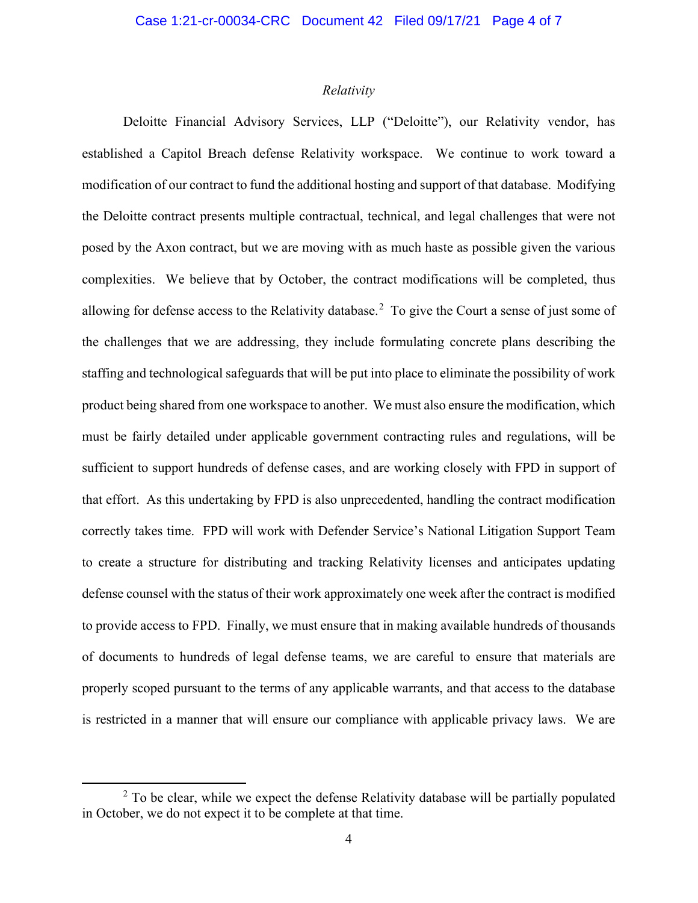### *Relativity*

Deloitte Financial Advisory Services, LLP ("Deloitte"), our Relativity vendor, has established a Capitol Breach defense Relativity workspace. We continue to work toward a modification of our contract to fund the additional hosting and support of that database. Modifying the Deloitte contract presents multiple contractual, technical, and legal challenges that were not posed by the Axon contract, but we are moving with as much haste as possible given the various complexities. We believe that by October, the contract modifications will be completed, thus allowing for defense access to the Relativity database.<sup>2</sup> To give the Court a sense of just some of the challenges that we are addressing, they include formulating concrete plans describing the staffing and technological safeguards that will be put into place to eliminate the possibility of work product being shared from one workspace to another. We must also ensure the modification, which must be fairly detailed under applicable government contracting rules and regulations, will be sufficient to support hundreds of defense cases, and are working closely with FPD in support of that effort. As this undertaking by FPD is also unprecedented, handling the contract modification correctly takes time. FPD will work with Defender Service's National Litigation Support Team to create a structure for distributing and tracking Relativity licenses and anticipates updating defense counsel with the status of their work approximately one week after the contract is modified to provide access to FPD. Finally, we must ensure that in making available hundreds of thousands of documents to hundreds of legal defense teams, we are careful to ensure that materials are properly scoped pursuant to the terms of any applicable warrants, and that access to the database is restricted in a manner that will ensure our compliance with applicable privacy laws. We are

 $2$  To be clear, while we expect the defense Relativity database will be partially populated in October, we do not expect it to be complete at that time.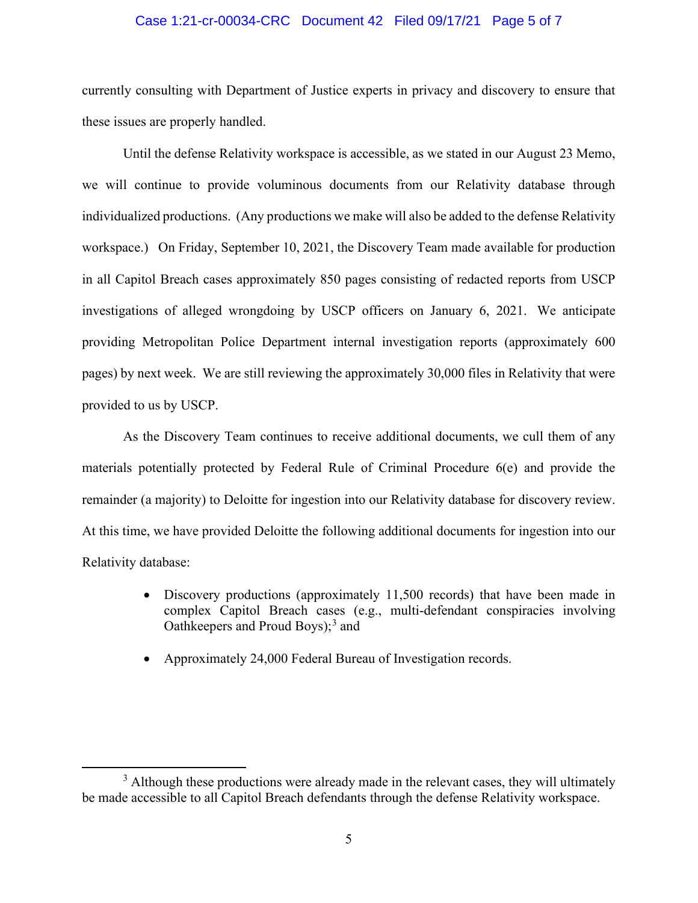#### Case 1:21-cr-00034-CRC Document 42 Filed 09/17/21 Page 5 of 7

currently consulting with Department of Justice experts in privacy and discovery to ensure that these issues are properly handled.

Until the defense Relativity workspace is accessible, as we stated in our August 23 Memo, we will continue to provide voluminous documents from our Relativity database through individualized productions. (Any productions we make will also be added to the defense Relativity workspace.) On Friday, September 10, 2021, the Discovery Team made available for production in all Capitol Breach cases approximately 850 pages consisting of redacted reports from USCP investigations of alleged wrongdoing by USCP officers on January 6, 2021. We anticipate providing Metropolitan Police Department internal investigation reports (approximately 600 pages) by next week. We are still reviewing the approximately 30,000 files in Relativity that were provided to us by USCP.

As the Discovery Team continues to receive additional documents, we cull them of any materials potentially protected by Federal Rule of Criminal Procedure 6(e) and provide the remainder (a majority) to Deloitte for ingestion into our Relativity database for discovery review. At this time, we have provided Deloitte the following additional documents for ingestion into our Relativity database:

- Discovery productions (approximately 11,500 records) that have been made in complex Capitol Breach cases (e.g., multi-defendant conspiracies involving Oathkeepers and Proud Boys); <sup>3</sup> and
- Approximately 24,000 Federal Bureau of Investigation records.

 $3$  Although these productions were already made in the relevant cases, they will ultimately be made accessible to all Capitol Breach defendants through the defense Relativity workspace.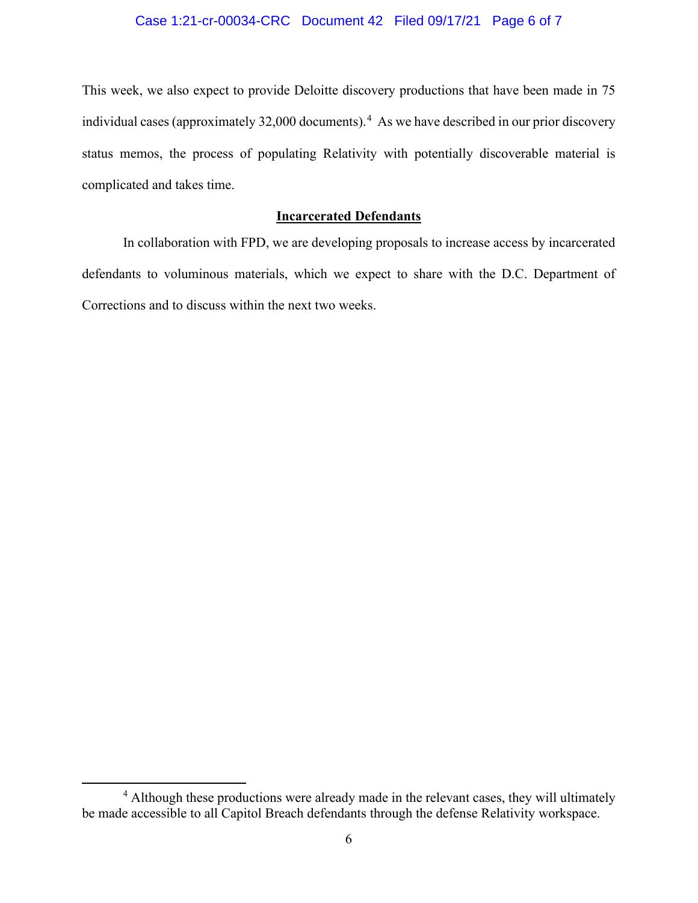# Case 1:21-cr-00034-CRC Document 42 Filed 09/17/21 Page 6 of 7

This week, we also expect to provide Deloitte discovery productions that have been made in 75 individual cases (approximately 32,000 documents). 4 As we have described in our prior discovery status memos, the process of populating Relativity with potentially discoverable material is complicated and takes time.

## **Incarcerated Defendants**

In collaboration with FPD, we are developing proposals to increase access by incarcerated defendants to voluminous materials, which we expect to share with the D.C. Department of Corrections and to discuss within the next two weeks.

<sup>4</sup> Although these productions were already made in the relevant cases, they will ultimately be made accessible to all Capitol Breach defendants through the defense Relativity workspace.